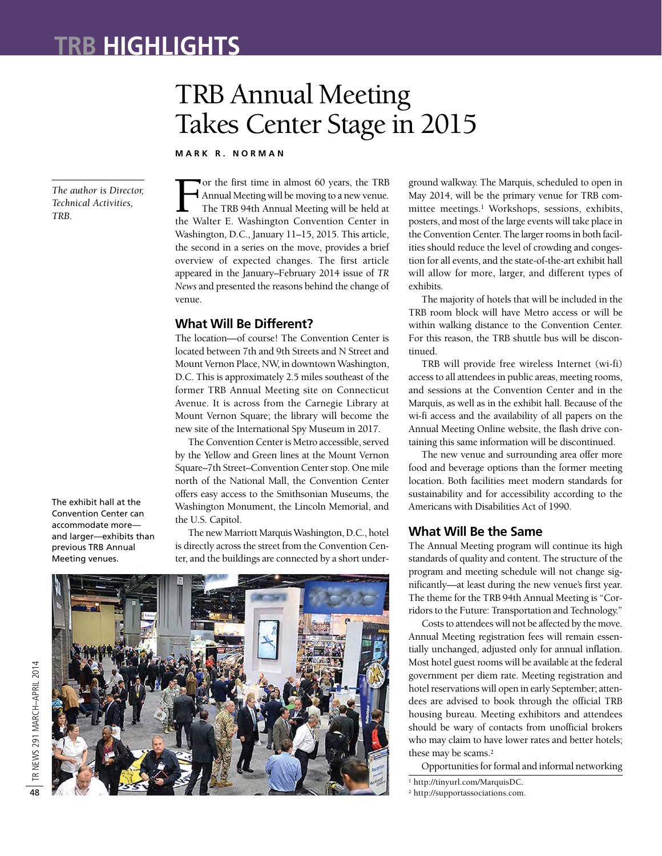## **TRB HIGHLIGHTS**

# TRB Annual Meeting Takes Center Stage in 2015

**M A R K R . N O R M A N**

*The author is Director, Technical Activities, TRB.*

The exhibit hall at the Convention Center can accommodate more and larger—exhibits than previous TRB Annual Meeting venues.

Annual Meeting will be moving to a new venue. The TRB 94th Annual Meeting will be held at the Walter E. Washington Convention Center in Washington, D.C., January 11–15, 2015. This article, the second in a series on the move, provides a brief overview of expected changes. The first article appeared in the January–February 2014 issue of *TR News* and presented the reasons behind the change of venue.

For the first time in almost 60 years, the TRB

#### **What Will Be Different?**

The location—of course! The Convention Center is located between 7th and 9th Streets and N Street and Mount Vernon Place, NW, in downtown Washington, D.C. This is approximately 2.5 miles southeast of the former TRB Annual Meeting site on Connecticut Avenue. It is across from the Carnegie Library at Mount Vernon Square; the library will become the new site of the International Spy Museum in 2017.

The Convention Center is Metro accessible, served by the Yellow and Green lines at the Mount Vernon Square–7th Street–Convention Center stop. One mile north of the National Mall, the Convention Center offers easy access to the Smithsonian Museums, the Washington Monument, the Lincoln Memorial, and the U.S. Capitol.

The new Marriott Marquis Washington, D.C., hotel is directly across the street from the Convention Center, and the buildings are connected by a short under-



ground walkway. The Marquis, scheduled to open in May 2014, will be the primary venue for TRB committee meetings.<sup>1</sup> Workshops, sessions, exhibits, posters, and most of the large events will take place in the Convention Center. The larger rooms in both facilities should reduce the level of crowding and congestion for all events, and the state-of-the-art exhibit hall will allow for more, larger, and different types of exhibits.

The majority of hotels that will be included in the TRB room block will have Metro access or will be within walking distance to the Convention Center. For this reason, the TRB shuttle bus will be discontinued.

TRB will provide free wireless Internet (wi-fi) access to all attendees in public areas, meeting rooms, and sessions at the Convention Center and in the Marquis, as well as in the exhibit hall. Because of the wi-fi access and the availability of all papers on the Annual Meeting Online website, the flash drive containing this same information will be discontinued.

The new venue and surrounding area offer more food and beverage options than the former meeting location. Both facilities meet modern standards for sustainability and for accessibility according to the Americans with Disabilities Act of 1990.

#### **What Will Be the Same**

The Annual Meeting program will continue its high standards of quality and content. The structure of the program and meeting schedule will not change significantly—at least during the new venue's first year. The theme for the TRB 94th Annual Meeting is "Corridors to the Future: Transportation and Technology."

Costs to attendees will not be affected by the move. Annual Meeting registration fees will remain essentially unchanged, adjusted only for annual inflation. Most hotel guest rooms will be available at the federal government per diem rate. Meeting registration and hotel reservations will open in early September; attendees are advised to book through the official TRB housing bureau. Meeting exhibitors and attendees should be wary of contacts from unofficial brokers who may claim to have lower rates and better hotels; these may be scams.<sup>2</sup>

Opportunities for formal and informal networking <sup>1</sup> [http://tinyurl.com/MarquisDC.](http://tinyurl.com/MarquisDC)

<sup>2</sup> [http://supportassociations.com.](http://supportassociations.com)